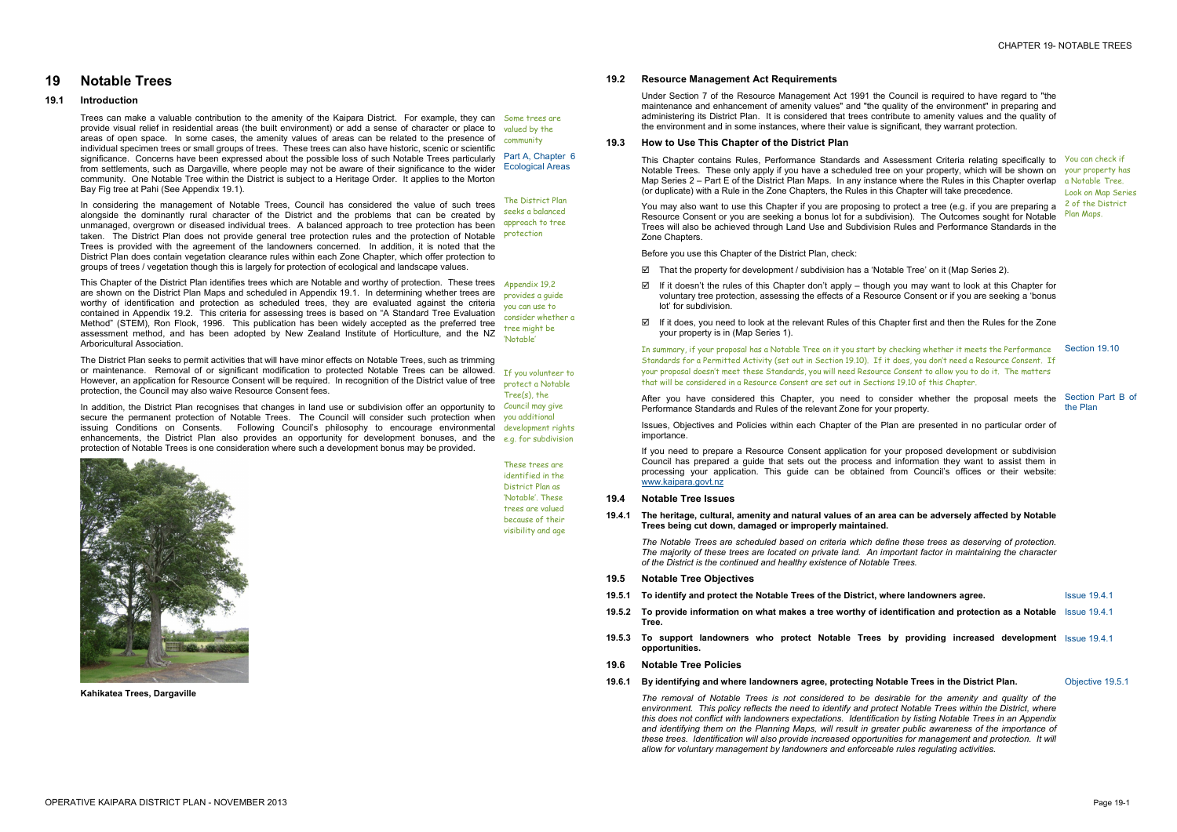## **19 Notable Trees**

## **19.1 Introduction**

Trees can make a valuable contribution to the amenity of the Kaipara District. For example, they can Some trees are provide visual relief in residential areas (the built environment) or add a sense of character or place to valued by the areas of open space. In some cases, the amenity values of areas can be related to the presence of  $\frac{1}{\text{community}}$ individual specimen trees or small groups of trees. These trees can also have historic, scenic or scientific significance. Concerns have been expressed about the possible loss of such Notable Trees particularly from settlements, such as Dargaville, where people may not be aware of their significance to the wider Ecological Areas community. One Notable Tree within the District is subject to a Heritage Order. It applies to the Morton Bay Fig tree at Pahi (See Appendix 19.1).

This Chapter of the District Plan identifies trees which are Notable and worthy of protection. These trees Appendix 19.2 are shown on the District Plan Maps and scheduled in Appendix 19.1. In determining whether trees are worthy of identification and protection as scheduled trees, they are evaluated against the criteria contained in Appendix 19.2. This criteria for assessing trees is based on "A Standard Tree Evaluation Method" (STEM), Ron Flook, 1996. This publication has been widely accepted as the preferred tree assessment method, and has been adopted by New Zealand Institute of Horticulture, and the NZ Arboricultural Association.

In considering the management of Notable Trees, Council has considered the value of such trees alongside the dominantly rural character of the District and the problems that can be created by unmanaged, overgrown or diseased individual trees. A balanced approach to tree protection has been taken. The District Plan does not provide general tree protection rules and the protection of Notable **protection** Trees is provided with the agreement of the landowners concerned. In addition, it is noted that the District Plan does contain vegetation clearance rules within each Zone Chapter, which offer protection to groups of trees / vegetation though this is largely for protection of ecological and landscape values.

In addition, the District Plan recognises that changes in land use or subdivision offer an opportunity to secure the permanent protection of Notable Trees. The Council will consider such protection when you additional issuing Conditions on Consents. Following Council's philosophy to encourage environmental development rights enhancements, the District Plan also provides an opportunity for development bonuses, and the e.g. for subdivision protection of Notable Trees is one consideration where such a development bonus may be provided.

This Chapter contains Rules, Performance Standards and Assessment Criteria relating specifically to You can check if Notable Trees. These only apply if you have a scheduled tree on your property, which will be shown on your property has Map Series 2 – Part E of the District Plan Maps. In any instance where the Rules in this Chapter overlap a Notable Tree. (or duplicate) with a Rule in the Zone Chapters, the Rules in this Chapter will take precedence.

The District Plan seeks to permit activities that will have minor effects on Notable Trees, such as trimming or maintenance. Removal of or significant modification to protected Notable Trees can be allowed. However, an application for Resource Consent will be required. In recognition of the District value of tree protection, the Council may also waive Resource Consent fees.

You may also want to use this Chapter if you are proposing to protect a tree (e.g. if you are preparing a start of the District Resource Consent or you are seeking a bonus lot for a subdivision). The Outcomes sought for Notable Trees will also be achieved through Land Use and Subdivision Rules and Performance Standards in the Zone Chapters.

- $\boxtimes$  That the property for development / subdivision has a 'Notable Tree' on it (Map Series 2).
- If it doesn't the rules of this Chapter don't apply though you may want to look at this Chapter for voluntary tree protection, assessing the effects of a Resource Consent or if you are seeking a 'bonus lot' for subdivision.
- If it does, you need to look at the relevant Rules of this Chapter first and then the Rules for the Zone your property is in (Map Series 1).

Part A, Chapter 6

The District Plan seeks a balanced approach to tree

provides a guide you can use to consider whether a tree might be 'Notable'

If you volunteer to protect a Notable Tree(s), the Council may give



**Kahikatea Trees, Dargaville** 

These trees are identified in the District Plan as 'Notable'. These trees are valued because of their visibility and age

### **19.2 Resource Management Act Requirements**

Under Section 7 of the Resource Management Act 1991 the Council is required to have regard to "the maintenance and enhancement of amenity values" and "the quality of the environment" in preparing and administering its District Plan. It is considered that trees contribute to amenity values and the quality of the environment and in some instances, where their value is significant, they warrant protection.

#### **19.3 How to Use This Chapter of the District Plan**

Before you use this Chapter of the District Plan, check:

Look on Map Series Plan Maps.

In summary, if your proposal has a Notable Tree on it you start by checking whether it meets the Performance Section 19.10 Standards for a Permitted Activity (set out in Section 19.10). If it does, you don't need a Resource Consent. If your proposal doesn't meet these Standards, you will need Resource Consent to allow you to do it. The matters that will be considered in a Resource Consent are set out in Sections 19.10 of this Chapter.

After you have considered this Chapter, you need to consider whether the proposal meets the Performance Standards and Rules of the relevant Zone for your property.

Issues, Objectives and Policies within each Chapter of the Plan are presented in no particular order of importance.

If you need to prepare a Resource Consent application for your proposed development or subdivision Council has prepared a guide that sets out the process and information they want to assist them in processing your application. This guide can be obtained from Council's offices or their website: [www.kaipara.govt.nz](http://www.kaipara.govt.nz)

Section Part B of the Plan

#### **19.4 Notable Tree Issues**

**19.4.1 The heritage, cultural, amenity and natural values of an area can be adversely affected by Notable Trees being cut down, damaged or improperly maintained.** 

*The Notable Trees are scheduled based on criteria which define these trees as deserving of protection. The majority of these trees are located on private land. An important factor in maintaining the character of the District is the continued and healthy existence of Notable Trees.* 

- **19.5 Notable Tree Objectives**
- **19.5.1 To identify and protect the Notable Trees of the District, where landowners agree.** Issue 19.4.1
- 19.5.2 To provide information on what makes a tree worthy of identification and protection as a Notable Issue 19.4.1 **Tree.**
- **19.5.3 To support landowners who protect Notable Trees by providing increased development**  Issue 19.4.1 **opportunities.**
- **19.6 Notable Tree Policies**
- **19.6.1 By identifying and where landowners agree, protecting Notable Trees in the District Plan.** Objective 19.5.1

*The removal of Notable Trees is not considered to be desirable for the amenity and quality of the environment. This policy reflects the need to identify and protect Notable Trees within the District, where this does not conflict with landowners expectations. Identification by listing Notable Trees in an Appendix and identifying them on the Planning Maps, will result in greater public awareness of the importance of these trees. Identification will also provide increased opportunities for management and protection. It will allow for voluntary management by landowners and enforceable rules regulating activities.*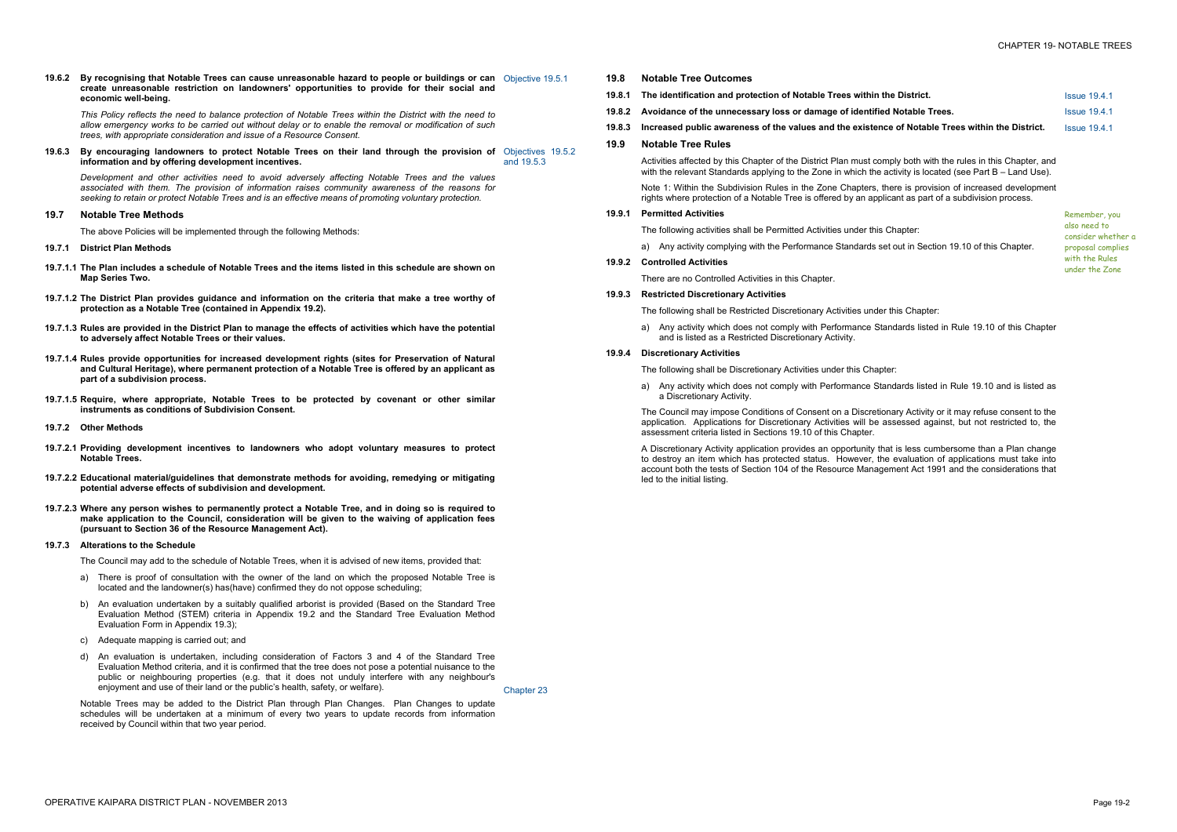| e District.                             | <b>Issue 19.4.1</b> |
|-----------------------------------------|---------------------|
| Notable Trees.                          | <b>Issue 19.4.1</b> |
| e of Notable Trees within the District. | <b>Issue 19.4.1</b> |
|                                         |                     |

19.6.2 By recognising that Notable Trees can cause unreasonable hazard to people or buildings or can Objective 19.5.1 **create unreasonable restriction on landowners' opportunities to provide for their social and economic well-being.** 

This Policy reflects the need to balance protection of Notable Trees within the District with the need to allow emergency works to be carried out without delay or to enable the removal or modification of such *trees, with appropriate consideration and issue of a Resource Consent.* 

**19.6.3 By encouraging landowners to protect Notable Trees on their land through the provision of**  Objectives 19.5.2 **information and by offering development incentives.**  and 19.5.3

*Development and other activities need to avoid adversely affecting Notable Trees and the values associated with them. The provision of information raises community awareness of the reasons for seeking to retain or protect Notable Trees and is an effective means of promoting voluntary protection.* 

#### **19.7 Notable Tree Methods**

The above Policies will be implemented through the following Methods:

- **19.7.1 District Plan Methods**
- 19.7.1.1 The Plan includes a schedule of Notable Trees and the items listed in this schedule are shown on **Map Series Two.**
- **19.7.1.2 The District Plan provides guidance and information on the criteria that make a tree worthy of protection as a Notable Tree (contained in Appendix 19.2).**
- 19.7.1.3 Rules are provided in the District Plan to manage the effects of activities which have the potential **to adversely affect Notable Trees or their values.**
- **19.7.1.4 Rules provide opportunities for increased development rights (sites for Preservation of Natural and Cultural Heritage), where permanent protection of a Notable Tree is offered by an applicant as part of a subdivision process.**
- **19.7.1.5 Require, where appropriate, Notable Trees to be protected by covenant or other similar instruments as conditions of Subdivision Consent.**
- **19.7.2 Other Methods**
- **19.7.2.1 Providing development incentives to landowners who adopt voluntary measures to protect Notable Trees.**
- **19.7.2.2 Educational material/guidelines that demonstrate methods for avoiding, remedying or mitigating potential adverse effects of subdivision and development.**
- 19.7.2.3 Where any person wishes to permanently protect a Notable Tree, and in doing so is required to **make application to the Council, consideration will be given to the waiving of application fees (pursuant to Section 36 of the Resource Management Act).**

#### **19.7.3 Alterations to the Schedule**

The Council may add to the schedule of Notable Trees, when it is advised of new items, provided that:

- a) There is proof of consultation with the owner of the land on which the proposed Notable Tree is located and the landowner(s) has(have) confirmed they do not oppose scheduling;
- b) An evaluation undertaken by a suitably qualified arborist is provided (Based on the Standard Tree Evaluation Method (STEM) criteria in Appendix 19.2 and the Standard Tree Evaluation Method Evaluation Form in Appendix 19.3);
- c) Adequate mapping is carried out; and
- d) An evaluation is undertaken, including consideration of Factors 3 and 4 of the Standard Tree Evaluation Method criteria, and it is confirmed that the tree does not pose a potential nuisance to the public or neighbouring properties (e.g. that it does not unduly interfere with any neighbour's eniovment and use of their land or the public's health, safety, or welfare). Chapter 23

Notable Trees may be added to the District Plan through Plan Changes. Plan Changes to update schedules will be undertaken at a minimum of every two years to update records from information received by Council within that two year period.

- **19.8 Notable Tree Outcomes**
- **19.8.1 The identification and protection of Notable Trees within the District Strict. <b>The District**
- **19.8.2** Avoidance of the unnecessary loss or damage of identified
- **19.8.3 Increased public awareness of the values and the existence of Notable Trees within the District.** Issue 19.4.1

### **19.9 Notable Tree Rules**

Activities affected by this Chapter of the District Plan must comply both with the rules in this Chapter, and with the relevant Standards applying to the Zone in which the activity is located (see Part B – Land Use).

Note 1: Within the Subdivision Rules in the Zone Chapters, there is provision of increased development rights where protection of a Notable Tree is offered by an applicant as part of a subdivision process.

#### **19.9.1 Permitted Activities**

The following activities shall be Permitted Activities under this Chapter: Remember, you also need to consider whether a proposal complies with the Rules under the Zone a) Any activity complying with the Performance Standards set out in Section 19.10 of this Chapter.

- 
- **19.9.2 Controlled Activities**

There are no Controlled Activities in this Chapter.

**19.9.3 Restricted Discretionary Activities** 

The following shall be Restricted Discretionary Activities under this Chapter: a) Any activity which does not comply with Performance Standards listed in Rule 19.10 of this Chapter

and is listed as a Restricted Discretionary Activity.

### **19.9.4 Discretionary Activities**

The following shall be Discretionary Activities under this Chapter:

a) Any activity which does not comply with Performance Standards listed in Rule 19.10 and is listed as a Discretionary Activity.

The Council may impose Conditions of Consent on a Discretionary Activity or it may refuse consent to the application. Applications for Discretionary Activities will be assessed against, but not restricted to, the assessment criteria listed in Sections 19.10 of this Chapter.

A Discretionary Activity application provides an opportunity that is less cumbersome than a Plan change to destroy an item which has protected status. However, the evaluation of applications must take into account both the tests of Section 104 of the Resource Management Act 1991 and the considerations that led to the initial listing.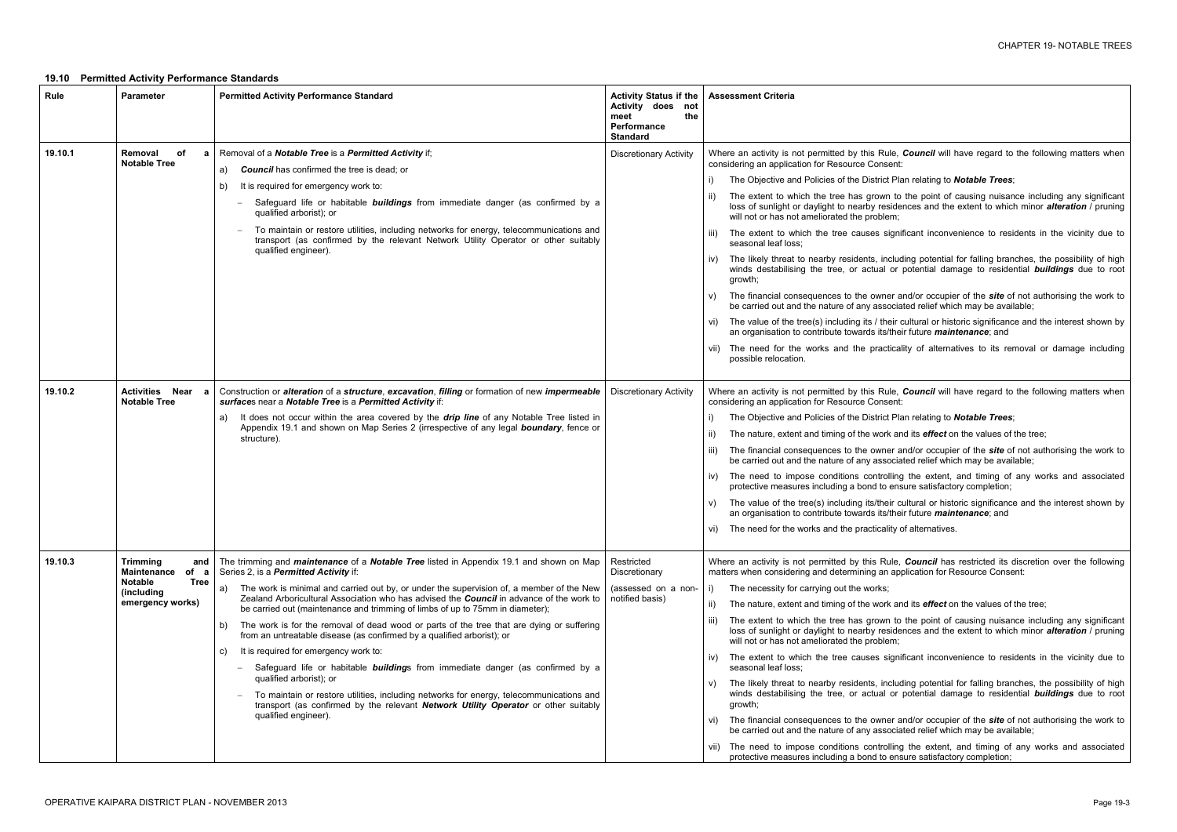le, **Council** will have regard to the following matters when

I) Plan relating to **Notable Trees**:

to the point of causing nuisance including any significant sidences and the extent to which minor *alteration* / pruning

ignificant inconvenience to residents in the vicinity due to

icluding potential for falling branches, the possibility of high or potential damage to residential **buildings** due to root

er and/or occupier of the *site* of not authorising the work to ociated relief which may be available;

eir cultural or historic significance and the interest shown by /their future *maintenance*; and

ticality of alternatives to its removal or damage including

le, **Council** will have regard to the following matters when

I Plan relating to **Notable Trees**;

k and its *effect* on the values of the tree;

er and/or occupier of the *site* of not authorising the work to ociated relief which may be available;

Illing the extent, and timing of any works and associated protective measure satisfactory completion;

eir cultural or historic significance and the interest shown by /their future *maintenance*; and

lity of alternatives.

ule, **Council** has restricted its discretion over the following application for Resource Consent:

k and its *effect* on the values of the tree;

to the point of causing nuisance including any significant sidences and the extent to which minor *alteration* / pruning

significant inconvenience to residents in the vicinity due to

icluding potential for falling branches, the possibility of high or potential damage to residential **buildings** due to root

er and/or occupier of the *site* of not authorising the work to ociated relief which may be available;

lling the extent, and timing of any works and associated ensure satisfactory completion;

### **19.10 Permitted Activity Performance Standards**

| Rule    | <b>Parameter</b>                                                                                                 | <b>Permitted Activity Performance Standard</b>                                                                                                                                                                                                                                                                                                                                                                                                                                                                                                                                                                                                                                                                                                                                                                                                                                                                                                                                                | <b>Activity Status if the</b><br>Activity does<br>not<br>meet<br>the<br><b>Performance</b><br><b>Standard</b> | <b>Assessment Criteria</b>                                                                                                                                                                                                                                                                                                                                                                                                                                                                                                                                                                                                                                                                                                                                                                                                 |
|---------|------------------------------------------------------------------------------------------------------------------|-----------------------------------------------------------------------------------------------------------------------------------------------------------------------------------------------------------------------------------------------------------------------------------------------------------------------------------------------------------------------------------------------------------------------------------------------------------------------------------------------------------------------------------------------------------------------------------------------------------------------------------------------------------------------------------------------------------------------------------------------------------------------------------------------------------------------------------------------------------------------------------------------------------------------------------------------------------------------------------------------|---------------------------------------------------------------------------------------------------------------|----------------------------------------------------------------------------------------------------------------------------------------------------------------------------------------------------------------------------------------------------------------------------------------------------------------------------------------------------------------------------------------------------------------------------------------------------------------------------------------------------------------------------------------------------------------------------------------------------------------------------------------------------------------------------------------------------------------------------------------------------------------------------------------------------------------------------|
| 19.10.1 | Removal<br>of<br>a<br><b>Notable Tree</b>                                                                        | Removal of a Notable Tree is a Permitted Activity if;<br><b>Council</b> has confirmed the tree is dead; or<br>a)<br>It is required for emergency work to:<br>b)<br>Safeguard life or habitable <b>buildings</b> from immediate danger (as confirmed by a<br>qualified arborist); or<br>To maintain or restore utilities, including networks for energy, telecommunications and<br>transport (as confirmed by the relevant Network Utility Operator or other suitably<br>qualified engineer).                                                                                                                                                                                                                                                                                                                                                                                                                                                                                                  | <b>Discretionary Activity</b>                                                                                 | Where an activity is not permitted by this Rule, o<br>considering an application for Resource Consent:<br>The Objective and Policies of the District Pla<br>The extent to which the tree has grown to<br>$\vert \vert$<br>loss of sunlight or daylight to nearby resider<br>will not or has not ameliorated the problem;<br>The extent to which the tree causes signif<br>III)<br>seasonal leaf loss;<br>The likely threat to nearby residents, includ<br>IV)<br>winds destabilising the tree, or actual or p<br>growth;<br>The financial consequences to the owner are<br>V)<br>be carried out and the nature of any associat<br>The value of the tree(s) including its / their c<br>VI).<br>an organisation to contribute towards its/their<br>The need for the works and the practicali<br>VII)<br>possible relocation. |
| 19.10.2 | <b>Activities Near</b><br>a<br><b>Notable Tree</b>                                                               | Construction or alteration of a structure, excavation, filling or formation of new impermeable<br>surfaces near a Notable Tree is a Permitted Activity if:<br>It does not occur within the area covered by the <i>drip line</i> of any Notable Tree listed in<br>a)<br>Appendix 19.1 and shown on Map Series 2 (irrespective of any legal <b>boundary</b> , fence or<br>structure).                                                                                                                                                                                                                                                                                                                                                                                                                                                                                                                                                                                                           | <b>Discretionary Activity</b>                                                                                 | Where an activity is not permitted by this Rule, o<br>considering an application for Resource Consent:<br>The Objective and Policies of the District Pla<br>i)<br>The nature, extent and timing of the work and<br>ii)<br>The financial consequences to the owner are<br>iii)<br>be carried out and the nature of any associat<br>The need to impose conditions controlling<br>IV)<br>protective measures including a bond to ensi<br>The value of the tree(s) including its/their cu<br>V)<br>an organisation to contribute towards its/their<br>vi) The need for the works and the practicality o                                                                                                                                                                                                                        |
| 19.10.3 | <b>Trimming</b><br>and<br>Maintenance<br>of a<br><b>Tree</b><br><b>Notable</b><br>(including<br>emergency works) | The trimming and <i>maintenance</i> of a <b>Notable Tree</b> listed in Appendix 19.1 and shown on Map<br>Series 2, is a Permitted Activity if:<br>The work is minimal and carried out by, or under the supervision of, a member of the New<br>a)<br>Zealand Arboricultural Association who has advised the Council in advance of the work to<br>be carried out (maintenance and trimming of limbs of up to 75mm in diameter);<br>The work is for the removal of dead wood or parts of the tree that are dying or suffering<br>b)<br>from an untreatable disease (as confirmed by a qualified arborist); or<br>It is required for emergency work to:<br>C)<br>Safeguard life or habitable <b>buildings</b> from immediate danger (as confirmed by a<br>$-$<br>qualified arborist); or<br>To maintain or restore utilities, including networks for energy, telecommunications and<br>transport (as confirmed by the relevant Network Utility Operator or other suitably<br>qualified engineer). | Restricted<br>Discretionary<br>(assessed on a non-<br>notified basis)                                         | Where an activity is not permitted by this Rule,<br>matters when considering and determining an app<br>The necessity for carrying out the works;<br>i)<br>The nature, extent and timing of the work and<br>ii)<br>The extent to which the tree has grown to<br>iii)<br>loss of sunlight or daylight to nearby resider<br>will not or has not ameliorated the problem;<br>The extent to which the tree causes signif<br>IV)<br>seasonal leaf loss;<br>The likely threat to nearby residents, includ<br>V)<br>winds destabilising the tree, or actual or p<br>growth;<br>The financial consequences to the owner ar<br>Vİ)<br>be carried out and the nature of any associat<br>The need to impose conditions controlling<br>VII)<br>protective measures including a bond to ensi                                             |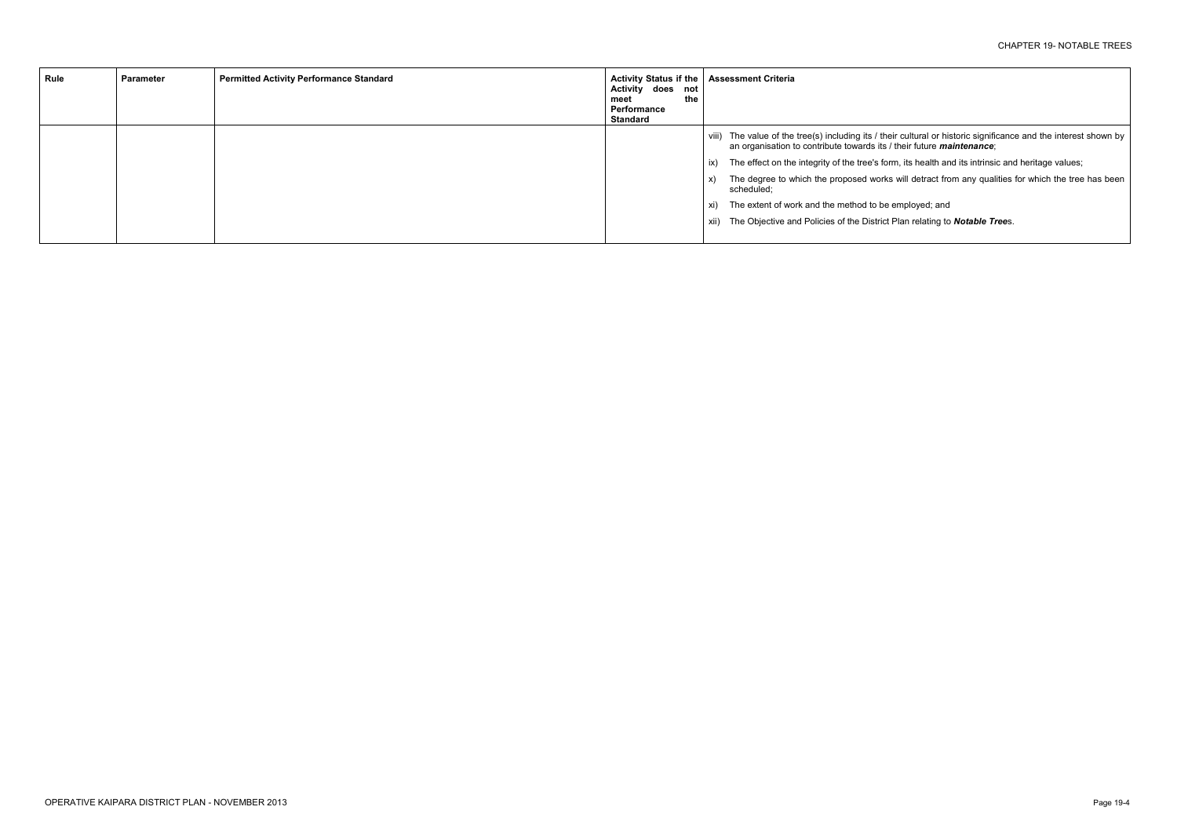viii) The value of the tree(s) including its / their cultural or historic significance and the interest shown by

orm, its health and its intrinsic and heritage values;

ks will detract from any qualities for which the tree has been

employed; and t Plan relating to **Notable Tree**s.

| Rule | Parameter | <b>Permitted Activity Performance Standard</b> | Activity Status if the   Assessment Criteria<br>Activity does not<br>the<br>meet<br>Performance<br>Standard |                                                                                                                                                                     |
|------|-----------|------------------------------------------------|-------------------------------------------------------------------------------------------------------------|---------------------------------------------------------------------------------------------------------------------------------------------------------------------|
|      |           |                                                |                                                                                                             | viii) The value of the tree(s) including its / their cultural or historic signific<br>an organisation to contribute towards its / their future <i>maintenance</i> ; |
|      |           |                                                |                                                                                                             | The effect on the integrity of the tree's form, its health and its intrinsion<br>ix)                                                                                |
|      |           |                                                |                                                                                                             | The degree to which the proposed works will detract from any quali<br>scheduled;                                                                                    |
|      |           |                                                |                                                                                                             | xi) The extent of work and the method to be employed; and                                                                                                           |
|      |           |                                                |                                                                                                             | xii) The Objective and Policies of the District Plan relating to <b>Notable Tr</b>                                                                                  |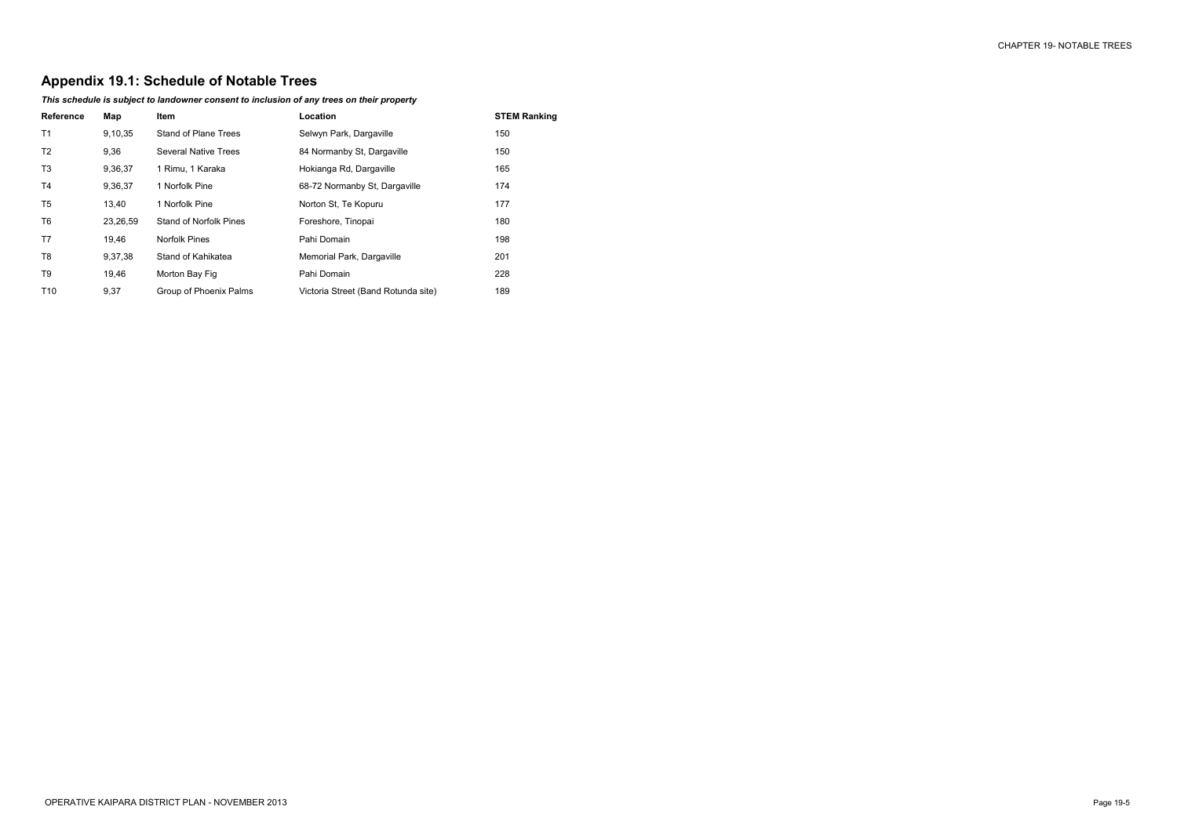# **Appendix 19.1: Schedule of Notable Trees**

## *This schedule is subject to landowner consent to inclusion of any trees on their property*

| <b>Reference</b> | Map      | <b>Item</b>                 | Location                            | <b>STEM Ranking</b> |
|------------------|----------|-----------------------------|-------------------------------------|---------------------|
| T <sub>1</sub>   | 9,10,35  | Stand of Plane Trees        | Selwyn Park, Dargaville             | 150                 |
| T <sub>2</sub>   | 9,36     | <b>Several Native Trees</b> | 84 Normanby St. Dargaville          | 150                 |
| T <sub>3</sub>   | 9,36,37  | 1 Rimu, 1 Karaka            | Hokianga Rd, Dargaville             | 165                 |
| T <sub>4</sub>   | 9,36,37  | 1 Norfolk Pine              | 68-72 Normanby St. Dargaville       | 174                 |
| T5               | 13,40    | 1 Norfolk Pine              | Norton St. Te Kopuru                | 177                 |
| T6               | 23,26,59 | Stand of Norfolk Pines      | Foreshore, Tinopai                  | 180                 |
| T7               | 19,46    | Norfolk Pines               | Pahi Domain                         | 198                 |
| T8               | 9,37,38  | Stand of Kahikatea          | Memorial Park, Dargaville           | 201                 |
| T9               | 19,46    | Morton Bay Fig              | Pahi Domain                         | 228                 |
| T <sub>10</sub>  | 9,37     | Group of Phoenix Palms      | Victoria Street (Band Rotunda site) | 189                 |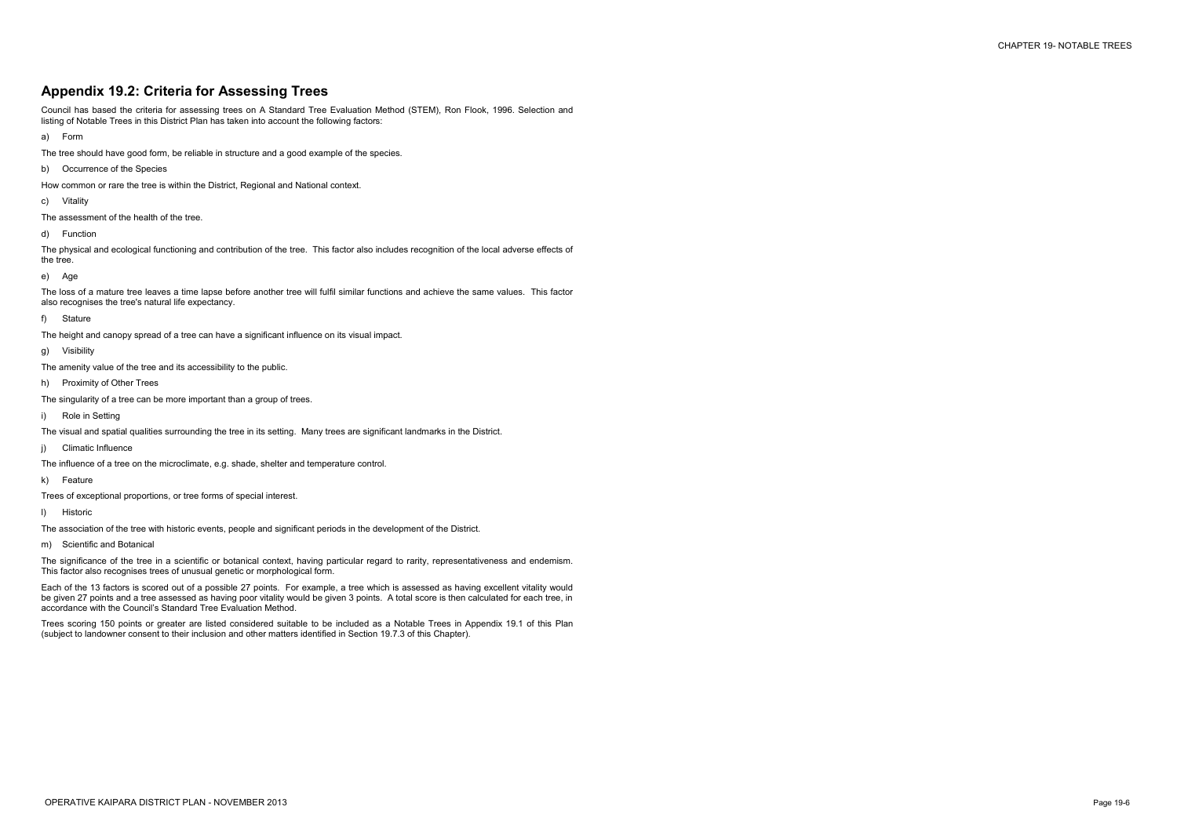# **Appendix 19.2: Criteria for Assessing Trees**

Council has based the criteria for assessing trees on A Standard Tree Evaluation Method (STEM), Ron Flook, 1996. Selection and listing of Notable Trees in this District Plan has taken into account the following factors:

a) Form

- The tree should have good form, be reliable in structure and a good example of the species.
- b) Occurrence of the Species

How common or rare the tree is within the District, Regional and National context.

c) Vitality

The assessment of the health of the tree.

d) Function

The physical and ecological functioning and contribution of the tree. This factor also includes recognition of the local adverse effects of the tree.

e) Age

The loss of a mature tree leaves a time lapse before another tree will fulfil similar functions and achieve the same values. This factor also recognises the tree's natural life expectancy.

f) Stature

The height and canopy spread of a tree can have a significant influence on its visual impact.

g) Visibility

The amenity value of the tree and its accessibility to the public.

h) Proximity of Other Trees

The singularity of a tree can be more important than a group of trees.

i) Role in Setting

The visual and spatial qualities surrounding the tree in its setting. Many trees are significant landmarks in the District.

j) Climatic Influence

The influence of a tree on the microclimate, e.g. shade, shelter and temperature control.

k) Feature

Trees of exceptional proportions, or tree forms of special interest.

l) Historic

The association of the tree with historic events, people and significant periods in the development of the District.

m) Scientific and Botanical

The significance of the tree in a scientific or botanical context, having particular regard to rarity, representativeness and endemism. This factor also recognises trees of unusual genetic or morphological form.

Each of the 13 factors is scored out of a possible 27 points. For example, a tree which is assessed as having excellent vitality would be given 27 points and a tree assessed as having poor vitality would be given 3 points. A total score is then calculated for each tree, in accordance with the Council's Standard Tree Evaluation Method.

Trees scoring 150 points or greater are listed considered suitable to be included as a Notable Trees in Appendix 19.1 of this Plan (subject to landowner consent to their inclusion and other matters identified in Section 19.7.3 of this Chapter).